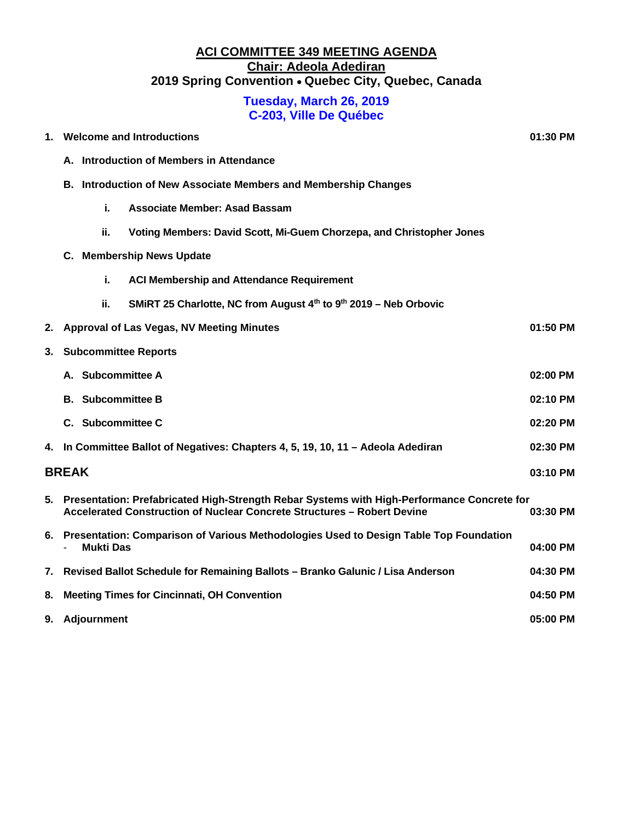# **ACI COMMITTEE 349 MEETING AGENDA Chair: Adeola Adediran 2019 Spring Convention** • **Quebec City, Quebec, Canada**

# **Tuesday, March 26, 2019 C-203, Ville De Québec**

| 1.           | <b>Welcome and Introductions</b>                                                                                                                                      |                                                                                            |                                                                      | 01:30 PM   |  |  |
|--------------|-----------------------------------------------------------------------------------------------------------------------------------------------------------------------|--------------------------------------------------------------------------------------------|----------------------------------------------------------------------|------------|--|--|
|              | A. Introduction of Members in Attendance                                                                                                                              |                                                                                            |                                                                      |            |  |  |
|              |                                                                                                                                                                       | <b>B. Introduction of New Associate Members and Membership Changes</b>                     |                                                                      |            |  |  |
|              |                                                                                                                                                                       | i.                                                                                         | <b>Associate Member: Asad Bassam</b>                                 |            |  |  |
|              |                                                                                                                                                                       | ii.                                                                                        | Voting Members: David Scott, Mi-Guem Chorzepa, and Christopher Jones |            |  |  |
|              | C. Membership News Update                                                                                                                                             |                                                                                            |                                                                      |            |  |  |
|              |                                                                                                                                                                       | i.                                                                                         | <b>ACI Membership and Attendance Requirement</b>                     |            |  |  |
|              |                                                                                                                                                                       | ii.                                                                                        | SMIRT 25 Charlotte, NC from August 4th to 9th 2019 - Neb Orbovic     |            |  |  |
| 2.           |                                                                                                                                                                       |                                                                                            | Approval of Las Vegas, NV Meeting Minutes                            | 01:50 PM   |  |  |
| 3.           | <b>Subcommittee Reports</b>                                                                                                                                           |                                                                                            |                                                                      |            |  |  |
|              |                                                                                                                                                                       | A. Subcommittee A                                                                          |                                                                      | $02:00$ PM |  |  |
|              |                                                                                                                                                                       | <b>B.</b> Subcommittee B                                                                   |                                                                      | 02:10 PM   |  |  |
|              | C. Subcommittee C<br>02:20 PM                                                                                                                                         |                                                                                            |                                                                      |            |  |  |
|              | 4. In Committee Ballot of Negatives: Chapters 4, 5, 19, 10, 11 - Adeola Adediran                                                                                      |                                                                                            |                                                                      | 02:30 PM   |  |  |
| <b>BREAK</b> |                                                                                                                                                                       |                                                                                            | 03:10 PM                                                             |            |  |  |
| 5.           | Presentation: Prefabricated High-Strength Rebar Systems with High-Performance Concrete for<br>Accelerated Construction of Nuclear Concrete Structures - Robert Devine |                                                                                            |                                                                      | 03:30 PM   |  |  |
|              | 6. Presentation: Comparison of Various Methodologies Used to Design Table Top Foundation<br><b>Mukti Das</b>                                                          |                                                                                            |                                                                      | 04:00 PM   |  |  |
| 7.           |                                                                                                                                                                       | Revised Ballot Schedule for Remaining Ballots - Branko Galunic / Lisa Anderson<br>04:30 PM |                                                                      |            |  |  |
| 8.           | <b>Meeting Times for Cincinnati, OH Convention</b>                                                                                                                    |                                                                                            |                                                                      | 04:50 PM   |  |  |
|              | 9. Adjournment                                                                                                                                                        |                                                                                            | 05:00 PM                                                             |            |  |  |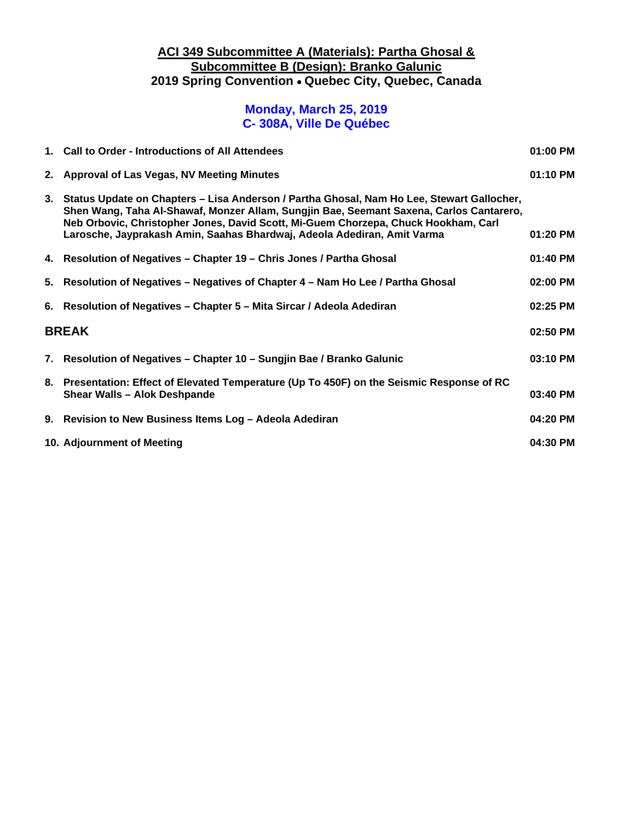## **ACI 349 Subcommittee A (Materials): Partha Ghosal & Subcommittee B (Design): Branko Galunic 2019 Spring Convention** • **Quebec City, Quebec, Canada**

#### **Monday, March 25, 2019 C- 308A, Ville De Québec**

|              | 1. Call to Order - Introductions of All Attendees                                                                                                                                                                                                                                                                                                        |          |
|--------------|----------------------------------------------------------------------------------------------------------------------------------------------------------------------------------------------------------------------------------------------------------------------------------------------------------------------------------------------------------|----------|
|              | 2. Approval of Las Vegas, NV Meeting Minutes                                                                                                                                                                                                                                                                                                             | 01:10 PM |
|              | 3. Status Update on Chapters - Lisa Anderson / Partha Ghosal, Nam Ho Lee, Stewart Gallocher,<br>Shen Wang, Taha Al-Shawaf, Monzer Allam, Sungjin Bae, Seemant Saxena, Carlos Cantarero,<br>Neb Orbovic, Christopher Jones, David Scott, Mi-Guem Chorzepa, Chuck Hookham, Carl<br>Larosche, Jayprakash Amin, Saahas Bhardwaj, Adeola Adediran, Amit Varma | 01:20 PM |
|              |                                                                                                                                                                                                                                                                                                                                                          |          |
|              | 4. Resolution of Negatives - Chapter 19 - Chris Jones / Partha Ghosal                                                                                                                                                                                                                                                                                    | 01:40 PM |
|              | 5. Resolution of Negatives – Negatives of Chapter 4 – Nam Ho Lee / Partha Ghosal                                                                                                                                                                                                                                                                         | 02:00 PM |
|              | 6. Resolution of Negatives - Chapter 5 - Mita Sircar / Adeola Adediran                                                                                                                                                                                                                                                                                   | 02:25 PM |
| <b>BREAK</b> |                                                                                                                                                                                                                                                                                                                                                          |          |
|              | 7. Resolution of Negatives – Chapter 10 – Sungjin Bae / Branko Galunic                                                                                                                                                                                                                                                                                   | 03:10 PM |
|              | 8. Presentation: Effect of Elevated Temperature (Up To 450F) on the Seismic Response of RC<br><b>Shear Walls - Alok Deshpande</b>                                                                                                                                                                                                                        |          |
|              | 9. Revision to New Business Items Log - Adeola Adediran                                                                                                                                                                                                                                                                                                  | 04:20 PM |
|              | 10. Adjournment of Meeting                                                                                                                                                                                                                                                                                                                               | 04:30 PM |